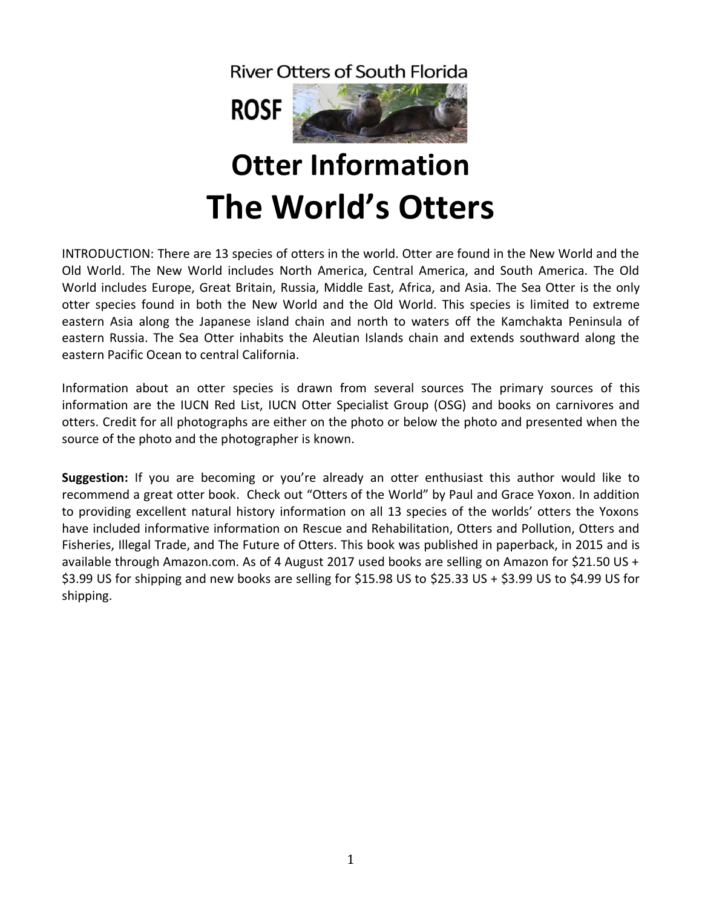**River Otters of South Florida** 



# **Otter Information The World's Otters**

INTRODUCTION: There are 13 species of otters in the world. Otter are found in the New World and the Old World. The New World includes North America, Central America, and South America. The Old World includes Europe, Great Britain, Russia, Middle East, Africa, and Asia. The Sea Otter is the only otter species found in both the New World and the Old World. This species is limited to extreme eastern Asia along the Japanese island chain and north to waters off the Kamchakta Peninsula of eastern Russia. The Sea Otter inhabits the Aleutian Islands chain and extends southward along the eastern Pacific Ocean to central California.

Information about an otter species is drawn from several sources The primary sources of this information are the IUCN Red List, IUCN Otter Specialist Group (OSG) and books on carnivores and otters. Credit for all photographs are either on the photo or below the photo and presented when the source of the photo and the photographer is known.

**Suggestion:** If you are becoming or you're already an otter enthusiast this author would like to recommend a great otter book. Check out "Otters of the World" by Paul and Grace Yoxon. In addition to providing excellent natural history information on all 13 species of the worlds' otters the Yoxons have included informative information on Rescue and Rehabilitation, Otters and Pollution, Otters and Fisheries, Illegal Trade, and The Future of Otters. This book was published in paperback, in 2015 and is available through Amazon.com. As of 4 August 2017 used books are selling on Amazon for \$21.50 US + \$3.99 US for shipping and new books are selling for \$15.98 US to \$25.33 US + \$3.99 US to \$4.99 US for shipping.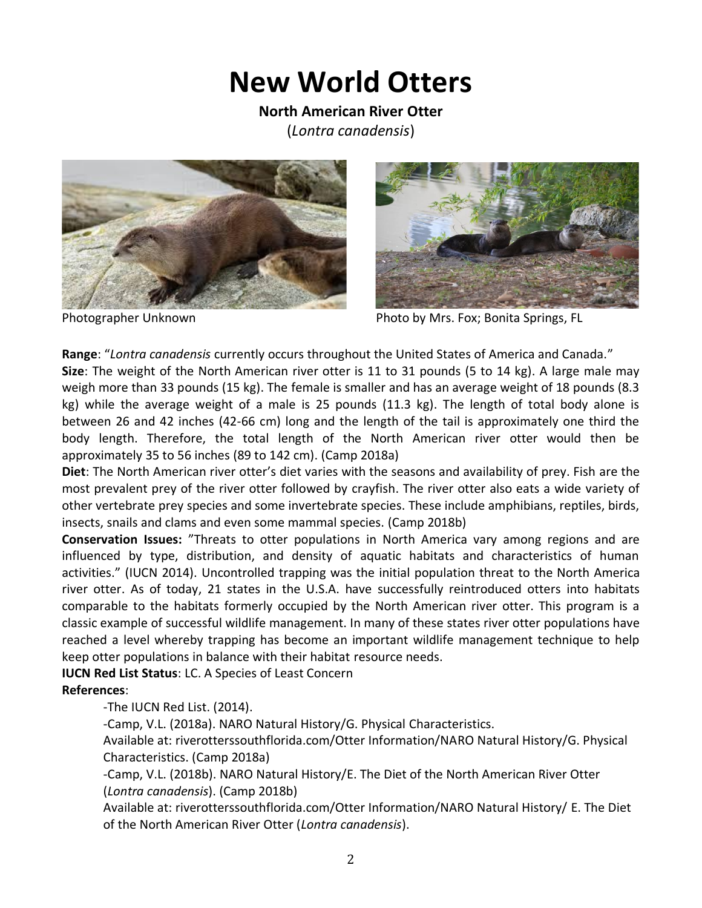## **New World Otters**

**North American River Otter**  (*Lontra canadensis*)





Photographer Unknown Photo by Mrs. Fox; Bonita Springs, FL

**Range**: "*Lontra canadensis* currently occurs throughout the United States of America and Canada."

**Size**: The weight of the North American river otter is 11 to 31 pounds (5 to 14 kg). A large male may weigh more than 33 pounds (15 kg). The female is smaller and has an average weight of 18 pounds (8.3 kg) while the average weight of a male is 25 pounds (11.3 kg). The length of total body alone is between 26 and 42 inches (42-66 cm) long and the length of the tail is approximately one third the body length. Therefore, the total length of the North American river otter would then be approximately 35 to 56 inches (89 to 142 cm). (Camp 2018a)

**Diet**: The North American river otter's diet varies with the seasons and availability of prey. Fish are the most prevalent prey of the river otter followed by crayfish. The river otter also eats a wide variety of other vertebrate prey species and some invertebrate species. These include amphibians, reptiles, birds, insects, snails and clams and even some mammal species. (Camp 2018b)

**Conservation Issues:** "Threats to otter populations in North America vary among regions and are influenced by type, distribution, and density of aquatic habitats and characteristics of human activities." (IUCN 2014). Uncontrolled trapping was the initial population threat to the North America river otter. As of today, 21 states in the U.S.A. have successfully reintroduced otters into habitats comparable to the habitats formerly occupied by the North American river otter. This program is a classic example of successful wildlife management. In many of these states river otter populations have reached a level whereby trapping has become an important wildlife management technique to help keep otter populations in balance with their habitat resource needs.

**IUCN Red List Status**: LC. A Species of Least Concern

#### **References**:

-The IUCN Red List. (2014).

-Camp, V.L. (2018a). NARO Natural History/G. Physical Characteristics.

Available at: riverotterssouthflorida.com/Otter Information/NARO Natural History/G. Physical Characteristics. (Camp 2018a)

-Camp, V.L. (2018b). NARO Natural History/E. The Diet of the North American River Otter (*Lontra canadensis*). (Camp 2018b)

Available at: riverotterssouthflorida.com/Otter Information/NARO Natural History/ E. The Diet of the North American River Otter (*Lontra canadensis*).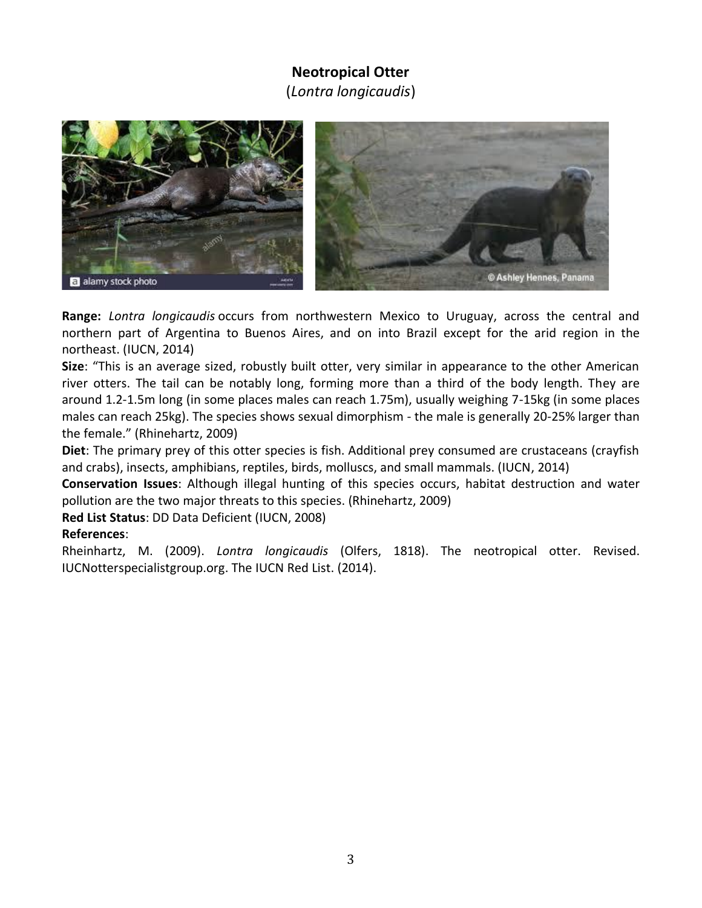### **Neotropical Otter**

(*Lontra longicaudis*)



**Range:** *Lontra longicaudis* occurs from northwestern Mexico to Uruguay, across the central and northern part of Argentina to Buenos Aires, and on into Brazil except for the arid region in the northeast. (IUCN, 2014)

**Size**: "This is an average sized, robustly built otter, very similar in appearance to the other American river otters. The tail can be notably long, forming more than a third of the body length. They are around 1.2-1.5m long (in some places males can reach 1.75m), usually weighing 7-15kg (in some places males can reach 25kg). The species shows sexual dimorphism - the male is generally 20-25% larger than the female." (Rhinehartz, 2009)

**Diet**: The primary prey of this otter species is fish. Additional prey consumed are crustaceans (crayfish and crabs), insects, amphibians, reptiles, birds, molluscs, and small mammals. (IUCN, 2014)

**Conservation Issues**: Although illegal hunting of this species occurs, habitat destruction and water pollution are the two major threats to this species. (Rhinehartz, 2009)

**Red List Status**: DD Data Deficient (IUCN, 2008)

### **References**:

Rheinhartz, M. (2009). *Lontra longicaudis* (Olfers, 1818). The neotropical otter. Revised. IUCNotterspecialistgroup.org. The IUCN Red List. (2014).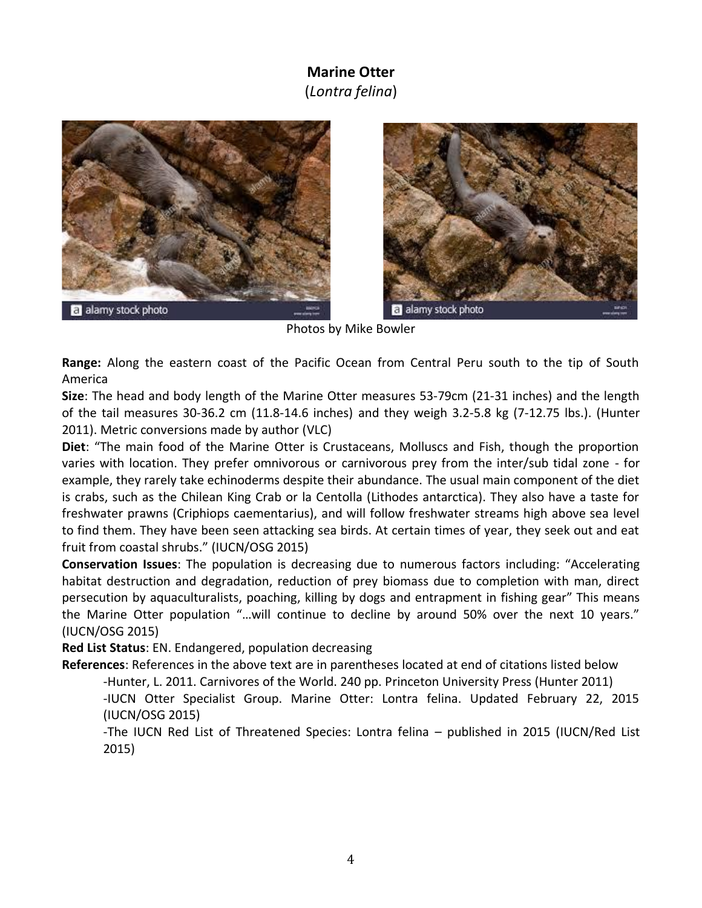### **Marine Otter** (*Lontra felina*)





Photos by Mike Bowler

**Range:** Along the eastern coast of the Pacific Ocean from Central Peru south to the tip of South America

**Size**: The head and body length of the Marine Otter measures 53-79cm (21-31 inches) and the length of the tail measures 30-36.2 cm (11.8-14.6 inches) and they weigh 3.2-5.8 kg (7-12.75 lbs.). (Hunter 2011). Metric conversions made by author (VLC)

**Diet**: "The main food of the Marine Otter is Crustaceans, Molluscs and Fish, though the proportion varies with location. They prefer omnivorous or carnivorous prey from the inter/sub tidal zone - for example, they rarely take echinoderms despite their abundance. The usual main component of the diet is crabs, such as the Chilean King Crab or la Centolla (Lithodes antarctica). They also have a taste for freshwater prawns (Criphiops caementarius), and will follow freshwater streams high above sea level to find them. They have been seen attacking sea birds. At certain times of year, they seek out and eat fruit from coastal shrubs." (IUCN/OSG 2015)

**Conservation Issues**: The population is decreasing due to numerous factors including: "Accelerating habitat destruction and degradation, reduction of prey biomass due to completion with man, direct persecution by aquaculturalists, poaching, killing by dogs and entrapment in fishing gear" This means the Marine Otter population "…will continue to decline by around 50% over the next 10 years." (IUCN/OSG 2015)

**Red List Status**: EN. Endangered, population decreasing

**References**: References in the above text are in parentheses located at end of citations listed below -Hunter, L. 2011. Carnivores of the World. 240 pp. Princeton University Press (Hunter 2011)

-IUCN Otter Specialist Group. Marine Otter: Lontra felina. Updated February 22, 2015 (IUCN/OSG 2015)

-The IUCN Red List of Threatened Species: Lontra felina – published in 2015 (IUCN/Red List 2015)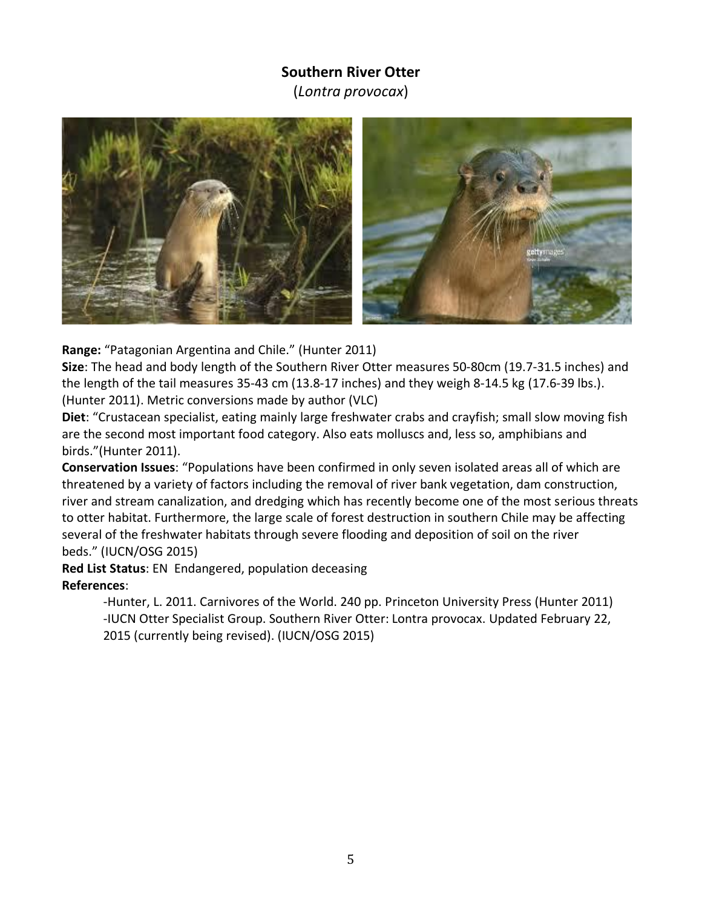### **Southern River Otter**

(*Lontra provocax*)



**Range:** "Patagonian Argentina and Chile." (Hunter 2011)

**Size**: The head and body length of the Southern River Otter measures 50-80cm (19.7-31.5 inches) and the length of the tail measures 35-43 cm (13.8-17 inches) and they weigh 8-14.5 kg (17.6-39 lbs.). (Hunter 2011). Metric conversions made by author (VLC)

**Diet**: "Crustacean specialist, eating mainly large freshwater crabs and crayfish; small slow moving fish are the second most important food category. Also eats molluscs and, less so, amphibians and birds."(Hunter 2011).

**Conservation Issues**: "Populations have been confirmed in only seven isolated areas all of which are threatened by a variety of factors including the removal of river bank vegetation, dam construction, river and stream canalization, and dredging which has recently become one of the most serious threats to otter habitat. Furthermore, the large scale of forest destruction in southern Chile may be affecting several of the freshwater habitats through severe flooding and deposition of soil on the river beds." (IUCN/OSG 2015)

**Red List Status**: EN Endangered, population deceasing **References**:

> -Hunter, L. 2011. Carnivores of the World. 240 pp. Princeton University Press (Hunter 2011) -IUCN Otter Specialist Group. Southern River Otter: Lontra provocax. Updated February 22, 2015 (currently being revised). (IUCN/OSG 2015)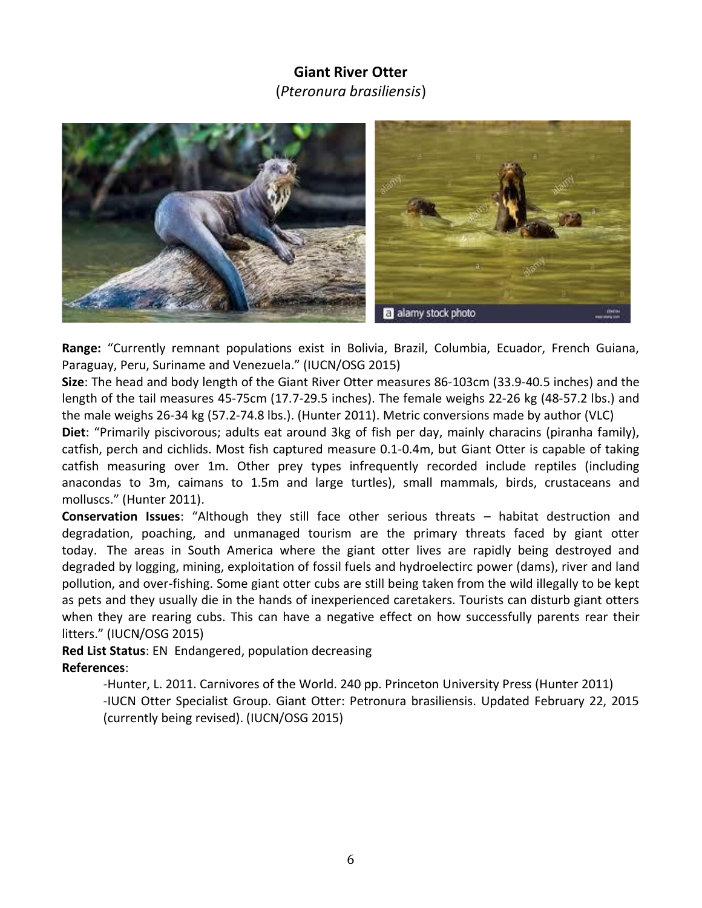### **Giant River Otter**

(*Pteronura brasiliensis*)



**Range:** "Currently remnant populations exist in Bolivia, Brazil, Columbia, Ecuador, French Guiana, Paraguay, Peru, Suriname and Venezuela." (IUCN/OSG 2015)

**Size**: The head and body length of the Giant River Otter measures 86-103cm (33.9-40.5 inches) and the length of the tail measures 45-75cm (17.7-29.5 inches). The female weighs 22-26 kg (48-57.2 lbs.) and the male weighs 26-34 kg (57.2-74.8 lbs.). (Hunter 2011). Metric conversions made by author (VLC)

**Diet**: "Primarily piscivorous; adults eat around 3kg of fish per day, mainly characins (piranha family), catfish, perch and cichlids. Most fish captured measure 0.1-0.4m, but Giant Otter is capable of taking catfish measuring over 1m. Other prey types infrequently recorded include reptiles (including anacondas to 3m, caimans to 1.5m and large turtles), small mammals, birds, crustaceans and molluscs." (Hunter 2011).

**Conservation Issues**: "Although they still face other serious threats – habitat destruction and degradation, poaching, and unmanaged tourism are the primary threats faced by giant otter today. The areas in South America where the giant otter lives are rapidly being destroyed and degraded by logging, mining, exploitation of fossil fuels and hydroelectirc power (dams), river and land pollution, and over-fishing. Some giant otter cubs are still being taken from the wild illegally to be kept as pets and they usually die in the hands of inexperienced caretakers. Tourists can disturb giant otters when they are rearing cubs. This can have a negative effect on how successfully parents rear their litters." (IUCN/OSG 2015)

**Red List Status**: EN Endangered, population decreasing **References**:

> -Hunter, L. 2011. Carnivores of the World. 240 pp. Princeton University Press (Hunter 2011) -IUCN Otter Specialist Group. Giant Otter: Petronura brasiliensis. Updated February 22, 2015 (currently being revised). (IUCN/OSG 2015)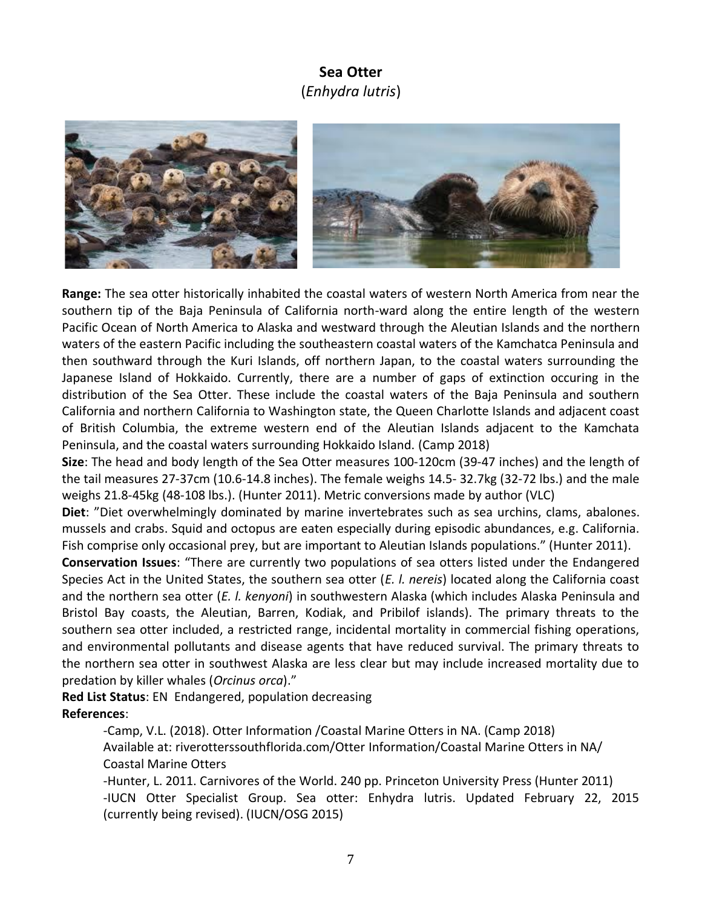### **Sea Otter**  (*Enhydra lutris*)



**Range:** The sea otter historically inhabited the coastal waters of western North America from near the southern tip of the Baja Peninsula of California north-ward along the entire length of the western Pacific Ocean of North America to Alaska and westward through the Aleutian Islands and the northern waters of the eastern Pacific including the southeastern coastal waters of the Kamchatca Peninsula and then southward through the Kuri Islands, off northern Japan, to the coastal waters surrounding the Japanese Island of Hokkaido. Currently, there are a number of gaps of extinction occuring in the distribution of the Sea Otter. These include the coastal waters of the Baja Peninsula and southern California and northern California to Washington state, the Queen Charlotte Islands and adjacent coast of British Columbia, the extreme western end of the Aleutian Islands adjacent to the Kamchata Peninsula, and the coastal waters surrounding Hokkaido Island. (Camp 2018)

**Size**: The head and body length of the Sea Otter measures 100-120cm (39-47 inches) and the length of the tail measures 27-37cm (10.6-14.8 inches). The female weighs 14.5- 32.7kg (32-72 lbs.) and the male weighs 21.8-45kg (48-108 lbs.). (Hunter 2011). Metric conversions made by author (VLC)

**Diet**: "Diet overwhelmingly dominated by marine invertebrates such as sea urchins, clams, abalones. mussels and crabs. Squid and octopus are eaten especially during episodic abundances, e.g. California. Fish comprise only occasional prey, but are important to Aleutian Islands populations." (Hunter 2011).

**Conservation Issues**: "There are currently two populations of sea otters listed under the Endangered Species Act in the United States, the southern sea otter (*E. l. nereis*) located along the California coast and the northern sea otter (*E. l. kenyoni*) in southwestern Alaska (which includes Alaska Peninsula and Bristol Bay coasts, the Aleutian, Barren, Kodiak, and Pribilof islands). The primary threats to the southern sea otter included, a restricted range, incidental mortality in commercial fishing operations, and environmental pollutants and disease agents that have reduced survival. The primary threats to the northern sea otter in southwest Alaska are less clear but may include increased mortality due to predation by killer whales (*Orcinus orca*)."

**Red List Status**: EN Endangered, population decreasing **References**:

> -Camp, V.L. (2018). Otter Information /Coastal Marine Otters in NA. (Camp 2018) Available at: riverotterssouthflorida.com/Otter Information/Coastal Marine Otters in NA/ Coastal Marine Otters

-Hunter, L. 2011. Carnivores of the World. 240 pp. Princeton University Press (Hunter 2011) -IUCN Otter Specialist Group. Sea otter: Enhydra lutris. Updated February 22, 2015 (currently being revised). (IUCN/OSG 2015)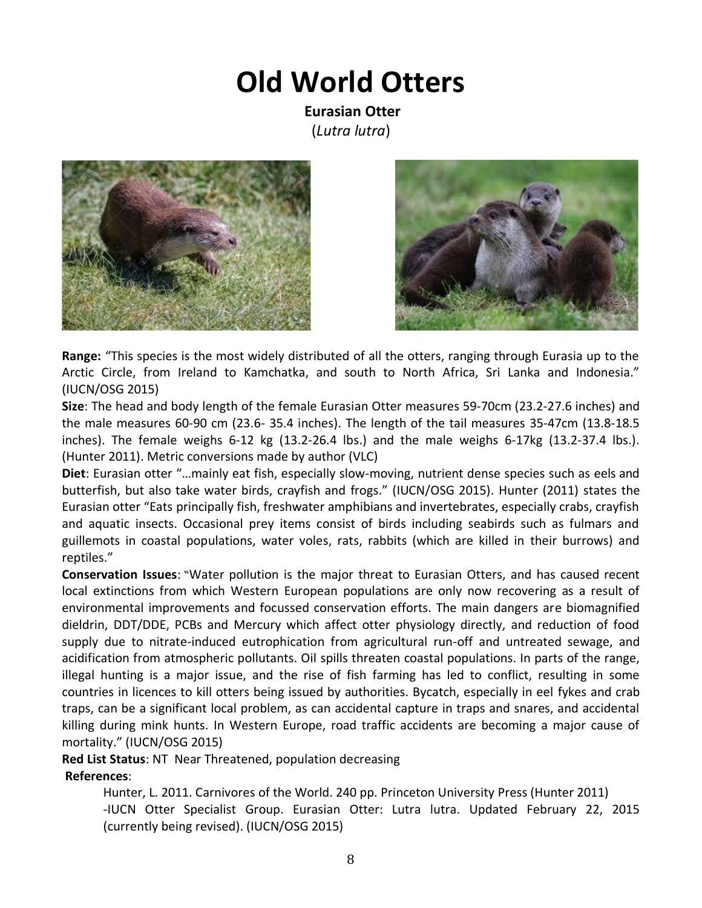## **Old World Otters**

**Eurasian Otter**  (*Lutra lutra*)





**Range:** "This species is the most widely distributed of all the otters, ranging through Eurasia up to the Arctic Circle, from Ireland to Kamchatka, and south to North Africa, Sri Lanka and Indonesia." (IUCN/OSG 2015)

**Size**: The head and body length of the female Eurasian Otter measures 59-70cm (23.2-27.6 inches) and the male measures 60-90 cm (23.6- 35.4 inches). The length of the tail measures 35-47cm (13.8-18.5 inches). The female weighs 6-12 kg (13.2-26.4 lbs.) and the male weighs 6-17kg (13.2-37.4 lbs.). (Hunter 2011). Metric conversions made by author (VLC)

**Diet**: Eurasian otter "…mainly eat fish, especially slow-moving, nutrient dense species such as eels and butterfish, but also take water birds, crayfish and frogs." (IUCN/OSG 2015). Hunter (2011) states the Eurasian otter "Eats principally fish, freshwater amphibians and invertebrates, especially crabs, crayfish and aquatic insects. Occasional prey items consist of birds including seabirds such as fulmars and guillemots in coastal populations, water voles, rats, rabbits (which are killed in their burrows) and reptiles."

**Conservation Issues**: "Water pollution is the major threat to Eurasian Otters, and has caused recent local extinctions from which Western European populations are only now recovering as a result of environmental improvements and focussed conservation efforts. The main dangers are biomagnified dieldrin, DDT/DDE, PCBs and Mercury which affect otter physiology directly, and reduction of food supply due to nitrate-induced eutrophication from agricultural run-off and untreated sewage, and acidification from atmospheric pollutants. Oil spills threaten coastal populations. In parts of the range, illegal hunting is a major issue, and the rise of fish farming has led to conflict, resulting in some countries in licences to kill otters being issued by authorities. Bycatch, especially in eel fykes and crab traps, can be a significant local problem, as can accidental capture in traps and snares, and accidental killing during mink hunts. In Western Europe, road traffic accidents are becoming a major cause of mortality." (IUCN/OSG 2015)

**Red List Status**: NT Near Threatened, population decreasing

### **References**:

Hunter, L. 2011. Carnivores of the World. 240 pp. Princeton University Press (Hunter 2011) -IUCN Otter Specialist Group. Eurasian Otter: Lutra lutra. Updated February 22, 2015 (currently being revised). (IUCN/OSG 2015)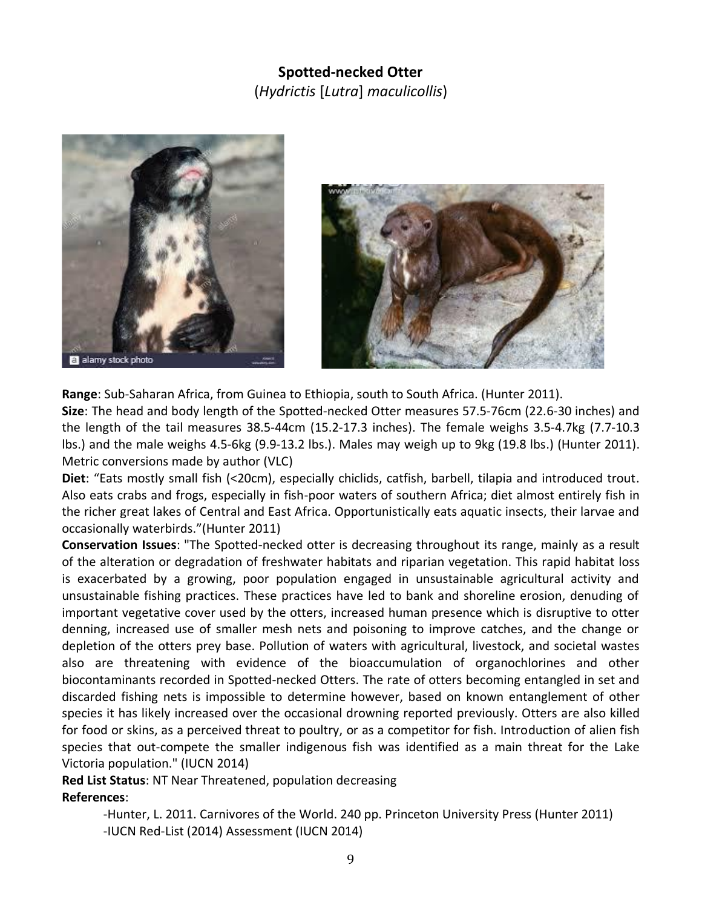### **Spotted-necked Otter** (*Hydrictis* [*Lutra*] *maculicollis*)





**Range**: Sub-Saharan Africa, from Guinea to Ethiopia, south to South Africa. (Hunter 2011). **Size**: The head and body length of the Spotted-necked Otter measures 57.5-76cm (22.6-30 inches) and the length of the tail measures 38.5-44cm (15.2-17.3 inches). The female weighs 3.5-4.7kg (7.7-10.3 lbs.) and the male weighs 4.5-6kg (9.9-13.2 lbs.). Males may weigh up to 9kg (19.8 lbs.) (Hunter 2011). Metric conversions made by author (VLC)

**Diet**: "Eats mostly small fish (<20cm), especially chiclids, catfish, barbell, tilapia and introduced trout. Also eats crabs and frogs, especially in fish-poor waters of southern Africa; diet almost entirely fish in the richer great lakes of Central and East Africa. Opportunistically eats aquatic insects, their larvae and occasionally waterbirds."(Hunter 2011)

**Conservation Issues**: "The Spotted-necked otter is decreasing throughout its range, mainly as a result of the alteration or degradation of freshwater habitats and riparian vegetation. This rapid habitat loss is exacerbated by a growing, poor population engaged in unsustainable agricultural activity and unsustainable fishing practices. These practices have led to bank and shoreline erosion, denuding of important vegetative cover used by the otters, increased human presence which is disruptive to otter denning, increased use of smaller mesh nets and poisoning to improve catches, and the change or depletion of the otters prey base. Pollution of waters with agricultural, livestock, and societal wastes also are threatening with evidence of the bioaccumulation of organochlorines and other biocontaminants recorded in Spotted-necked Otters. The rate of otters becoming entangled in set and discarded fishing nets is impossible to determine however, based on known entanglement of other species it has likely increased over the occasional drowning reported previously. Otters are also killed for food or skins, as a perceived threat to poultry, or as a competitor for fish. Introduction of alien fish species that out-compete the smaller indigenous fish was identified as a main threat for the Lake Victoria population." (IUCN 2014)

**Red List Status**: NT Near Threatened, population decreasing **References**:

> -Hunter, L. 2011. Carnivores of the World. 240 pp. Princeton University Press (Hunter 2011) -IUCN Red-List (2014) Assessment (IUCN 2014)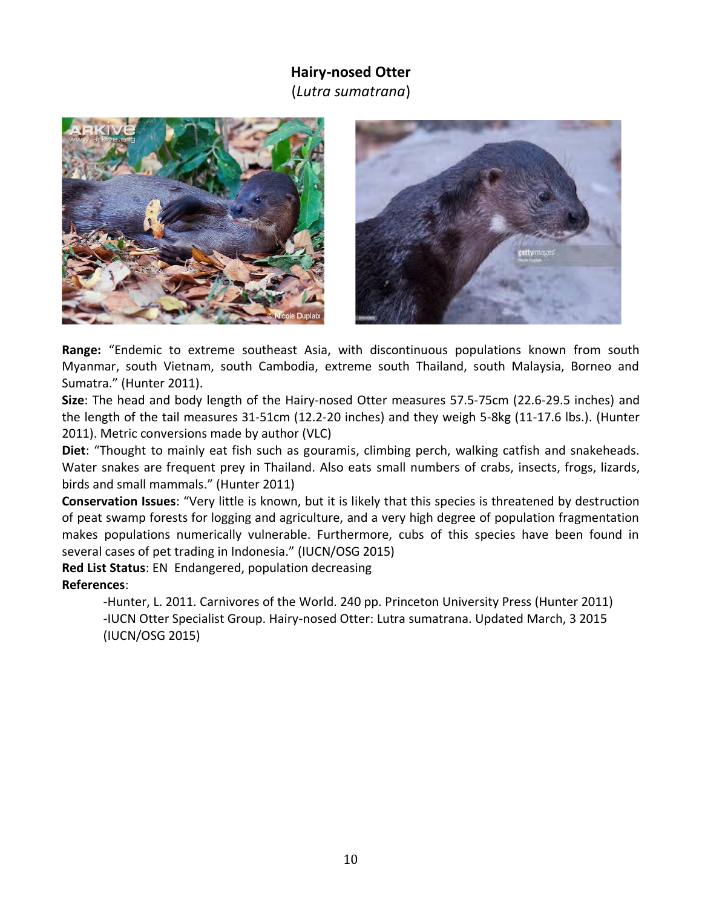### **Hairy-nosed Otter**

(*Lutra sumatrana*)





**Range:** "Endemic to extreme southeast Asia, with discontinuous populations known from south Myanmar, south Vietnam, south Cambodia, extreme south Thailand, south Malaysia, Borneo and Sumatra." (Hunter 2011).

**Size**: The head and body length of the Hairy-nosed Otter measures 57.5-75cm (22.6-29.5 inches) and the length of the tail measures 31-51cm (12.2-20 inches) and they weigh 5-8kg (11-17.6 lbs.). (Hunter 2011). Metric conversions made by author (VLC)

**Diet**: "Thought to mainly eat fish such as gouramis, climbing perch, walking catfish and snakeheads. Water snakes are frequent prey in Thailand. Also eats small numbers of crabs, insects, frogs, lizards, birds and small mammals." (Hunter 2011)

**Conservation Issues**: "Very little is known, but it is likely that this species is threatened by destruction of peat swamp forests for logging and agriculture, and a very high degree of population fragmentation makes populations numerically vulnerable. Furthermore, cubs of this species have been found in several cases of pet trading in Indonesia." (IUCN/OSG 2015)

**Red List Status**: EN Endangered, population decreasing **References**:

> -Hunter, L. 2011. Carnivores of the World. 240 pp. Princeton University Press (Hunter 2011) -IUCN Otter Specialist Group. Hairy-nosed Otter: Lutra sumatrana. Updated March, 3 2015 (IUCN/OSG 2015)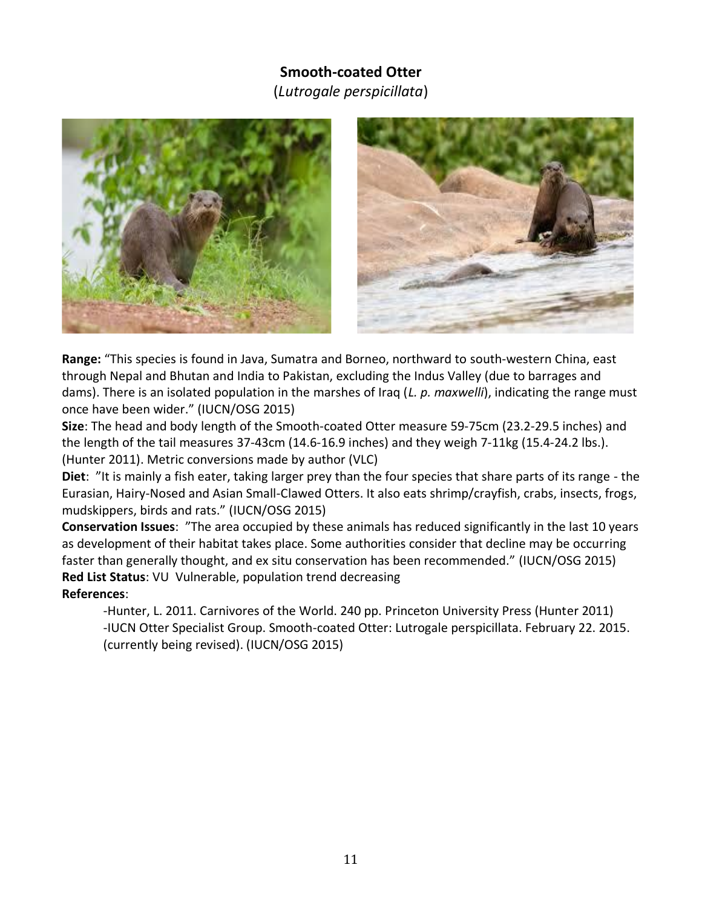### **Smooth-coated Otter**  (*Lutrogale perspicillata*)





**Range:** "This species is found in Java, Sumatra and Borneo, northward to south-western China, east through Nepal and Bhutan and India to Pakistan, excluding the Indus Valley (due to barrages and dams). There is an isolated population in the marshes of Iraq (*L. p. maxwelli*), indicating the range must once have been wider." (IUCN/OSG 2015)

**Size**: The head and body length of the Smooth-coated Otter measure 59-75cm (23.2-29.5 inches) and the length of the tail measures 37-43cm (14.6-16.9 inches) and they weigh 7-11kg (15.4-24.2 lbs.). (Hunter 2011). Metric conversions made by author (VLC)

**Diet**: "It is mainly a fish eater, taking larger prey than the four species that share parts of its range - the Eurasian, Hairy-Nosed and Asian Small-Clawed Otters. It also eats shrimp/crayfish, crabs, insects, frogs, mudskippers, birds and rats." (IUCN/OSG 2015)

**Conservation Issues**: "The area occupied by these animals has reduced significantly in the last 10 years as development of their habitat takes place. Some authorities consider that decline may be occurring faster than generally thought, and ex situ conservation has been recommended." (IUCN/OSG 2015) **Red List Status**: VU Vulnerable, population trend decreasing **References**:

-Hunter, L. 2011. Carnivores of the World. 240 pp. Princeton University Press (Hunter 2011) -IUCN Otter Specialist Group. Smooth-coated Otter: Lutrogale perspicillata. February 22. 2015. (currently being revised). (IUCN/OSG 2015)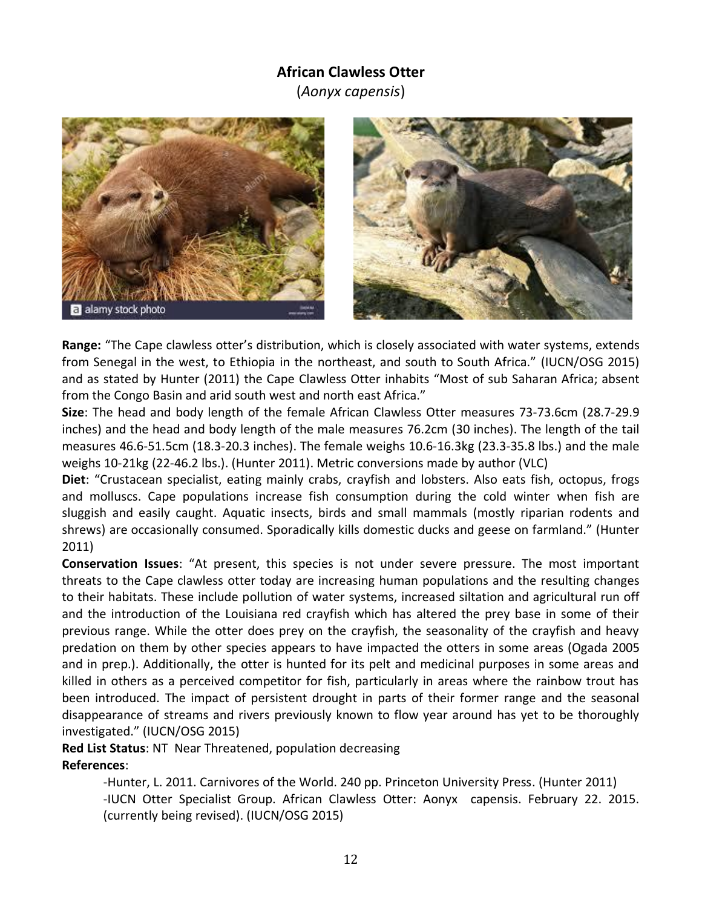### **African Clawless Otter**

(*Aonyx capensis*)





**Range:** "The Cape clawless otter's distribution, which is closely associated with water systems, extends from Senegal in the west, to Ethiopia in the northeast, and south to South Africa." (IUCN/OSG 2015) and as stated by Hunter (2011) the Cape Clawless Otter inhabits "Most of sub Saharan Africa; absent from the Congo Basin and arid south west and north east Africa."

**Size**: The head and body length of the female African Clawless Otter measures 73-73.6cm (28.7-29.9 inches) and the head and body length of the male measures 76.2cm (30 inches). The length of the tail measures 46.6-51.5cm (18.3-20.3 inches). The female weighs 10.6-16.3kg (23.3-35.8 lbs.) and the male weighs 10-21kg (22-46.2 lbs.). (Hunter 2011). Metric conversions made by author (VLC)

**Diet**: "Crustacean specialist, eating mainly crabs, crayfish and lobsters. Also eats fish, octopus, frogs and molluscs. Cape populations increase fish consumption during the cold winter when fish are sluggish and easily caught. Aquatic insects, birds and small mammals (mostly riparian rodents and shrews) are occasionally consumed. Sporadically kills domestic ducks and geese on farmland." (Hunter 2011)

**Conservation Issues**: "At present, this species is not under severe pressure. The most important threats to the Cape clawless otter today are increasing human populations and the resulting changes to their habitats. These include pollution of water systems, increased siltation and agricultural run off and the introduction of the Louisiana red crayfish which has altered the prey base in some of their previous range. While the otter does prey on the crayfish, the seasonality of the crayfish and heavy predation on them by other species appears to have impacted the otters in some areas (Ogada 2005 and in prep.). Additionally, the otter is hunted for its pelt and medicinal purposes in some areas and killed in others as a perceived competitor for fish, particularly in areas where the rainbow trout has been introduced. The impact of persistent drought in parts of their former range and the seasonal disappearance of streams and rivers previously known to flow year around has yet to be thoroughly investigated." (IUCN/OSG 2015)

**Red List Status**: NT Near Threatened, population decreasing **References**:

> -Hunter, L. 2011. Carnivores of the World. 240 pp. Princeton University Press. (Hunter 2011) -IUCN Otter Specialist Group. African Clawless Otter: Aonyx capensis. February 22. 2015. (currently being revised). (IUCN/OSG 2015)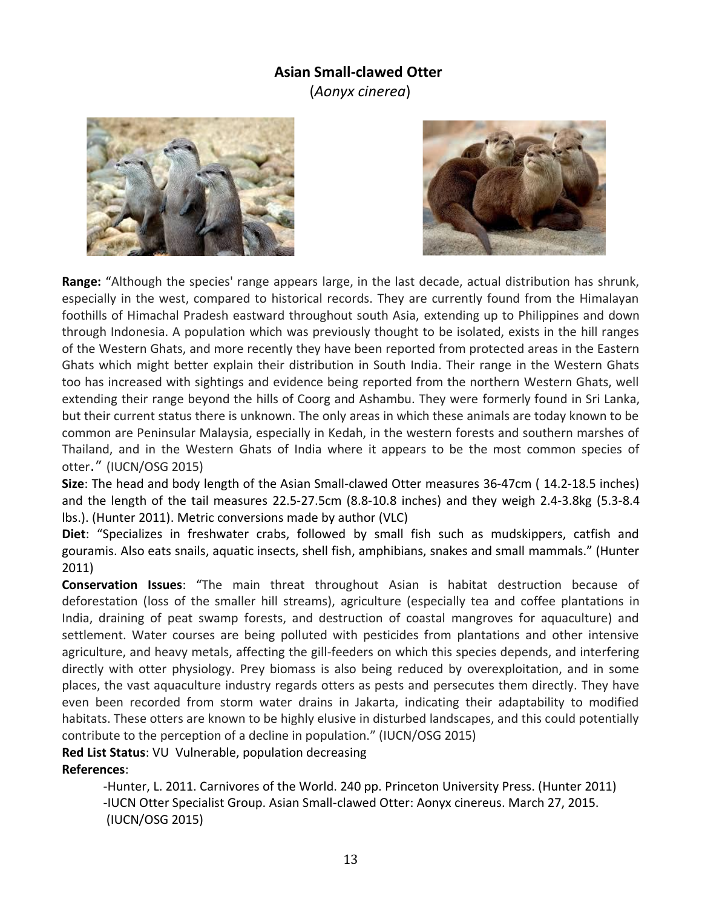### **Asian Small-clawed Otter**

(*Aonyx cinerea*)





**Range:** "Although the species' range appears large, in the last decade, actual distribution has shrunk, especially in the west, compared to historical records. They are currently found from the Himalayan foothills of Himachal Pradesh eastward throughout south Asia, extending up to Philippines and down through Indonesia. A population which was previously thought to be isolated, exists in the hill ranges of the Western Ghats, and more recently they have been reported from protected areas in the Eastern Ghats which might better explain their distribution in South India. Their range in the Western Ghats too has increased with sightings and evidence being reported from the northern Western Ghats, well extending their range beyond the hills of Coorg and Ashambu. They were formerly found in Sri Lanka, but their current status there is unknown. The only areas in which these animals are today known to be common are Peninsular Malaysia, especially in Kedah, in the western forests and southern marshes of Thailand, and in the Western Ghats of India where it appears to be the most common species of otter." (IUCN/OSG 2015)

**Size**: The head and body length of the Asian Small-clawed Otter measures 36-47cm ( 14.2-18.5 inches) and the length of the tail measures 22.5-27.5cm (8.8-10.8 inches) and they weigh 2.4-3.8kg (5.3-8.4 lbs.). (Hunter 2011). Metric conversions made by author (VLC)

**Diet**: "Specializes in freshwater crabs, followed by small fish such as mudskippers, catfish and gouramis. Also eats snails, aquatic insects, shell fish, amphibians, snakes and small mammals." (Hunter 2011)

**Conservation Issues**: "The main threat throughout Asian is habitat destruction because of deforestation (loss of the smaller hill streams), agriculture (especially tea and coffee plantations in India, draining of peat swamp forests, and destruction of coastal mangroves for aquaculture) and settlement. Water courses are being polluted with pesticides from plantations and other intensive agriculture, and heavy metals, affecting the gill-feeders on which this species depends, and interfering directly with otter physiology. Prey biomass is also being reduced by overexploitation, and in some places, the vast aquaculture industry regards otters as pests and persecutes them directly. They have even been recorded from storm water drains in Jakarta, indicating their adaptability to modified habitats. These otters are known to be highly elusive in disturbed landscapes, and this could potentially contribute to the perception of a decline in population." (IUCN/OSG 2015)

**Red List Status**: VU Vulnerable, population decreasing

**References**:

-Hunter, L. 2011. Carnivores of the World. 240 pp. Princeton University Press. (Hunter 2011) -IUCN Otter Specialist Group. Asian Small-clawed Otter: Aonyx cinereus. March 27, 2015. (IUCN/OSG 2015)